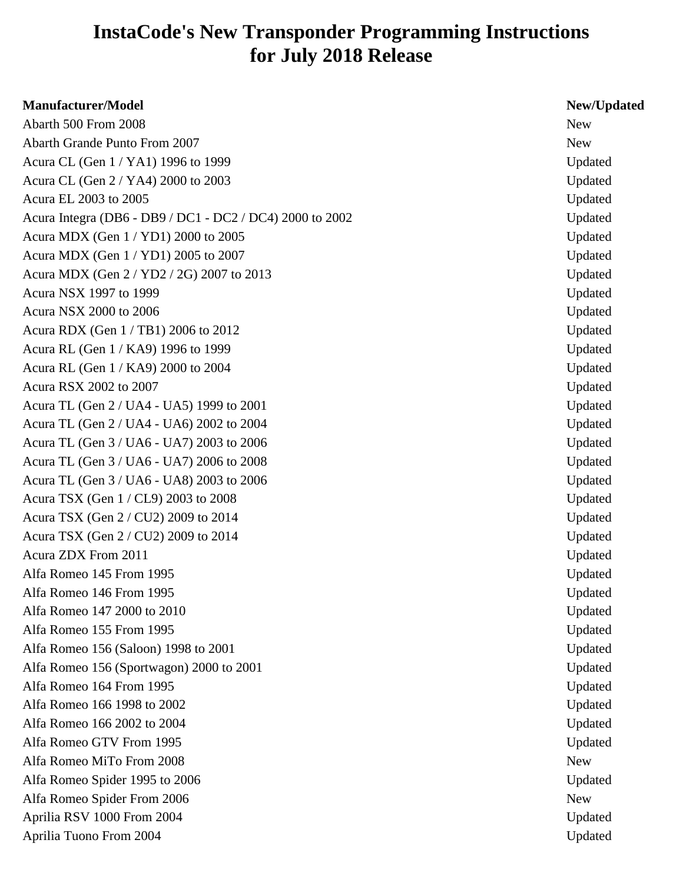## **InstaCode's New Transponder Programming Instructions for July 2018 Release**

| <b>Manufacturer/Model</b>                                | New/Updated |
|----------------------------------------------------------|-------------|
| Abarth 500 From 2008                                     | <b>New</b>  |
| <b>Abarth Grande Punto From 2007</b>                     | <b>New</b>  |
| Acura CL (Gen 1 / YA1) 1996 to 1999                      | Updated     |
| Acura CL (Gen 2 / YA4) 2000 to 2003                      | Updated     |
| Acura EL 2003 to 2005                                    | Updated     |
| Acura Integra (DB6 - DB9 / DC1 - DC2 / DC4) 2000 to 2002 | Updated     |
| Acura MDX (Gen 1 / YD1) 2000 to 2005                     | Updated     |
| Acura MDX (Gen 1 / YD1) 2005 to 2007                     | Updated     |
| Acura MDX (Gen 2 / YD2 / 2G) 2007 to 2013                | Updated     |
| Acura NSX 1997 to 1999                                   | Updated     |
| Acura NSX 2000 to 2006                                   | Updated     |
| Acura RDX (Gen 1/TB1) 2006 to 2012                       | Updated     |
| Acura RL (Gen 1 / KA9) 1996 to 1999                      | Updated     |
| Acura RL (Gen 1 / KA9) 2000 to 2004                      | Updated     |
| Acura RSX 2002 to 2007                                   | Updated     |
| Acura TL (Gen 2 / UA4 - UA5) 1999 to 2001                | Updated     |
| Acura TL (Gen 2 / UA4 - UA6) 2002 to 2004                | Updated     |
| Acura TL (Gen 3 / UA6 - UA7) 2003 to 2006                | Updated     |
| Acura TL (Gen 3 / UA6 - UA7) 2006 to 2008                | Updated     |
| Acura TL (Gen 3 / UA6 - UA8) 2003 to 2006                | Updated     |
| Acura TSX (Gen 1 / CL9) 2003 to 2008                     | Updated     |
| Acura TSX (Gen 2 / CU2) 2009 to 2014                     | Updated     |
| Acura TSX (Gen 2 / CU2) 2009 to 2014                     | Updated     |
| Acura ZDX From 2011                                      | Updated     |
| Alfa Romeo 145 From 1995                                 | Updated     |
| Alfa Romeo 146 From 1995                                 | Updated     |
| Alfa Romeo 147 2000 to 2010                              | Updated     |
| Alfa Romeo 155 From 1995                                 | Updated     |
| Alfa Romeo 156 (Saloon) 1998 to 2001                     | Updated     |
| Alfa Romeo 156 (Sportwagon) 2000 to 2001                 | Updated     |
| Alfa Romeo 164 From 1995                                 | Updated     |
| Alfa Romeo 166 1998 to 2002                              | Updated     |
| Alfa Romeo 166 2002 to 2004                              | Updated     |
| Alfa Romeo GTV From 1995                                 | Updated     |
| Alfa Romeo MiTo From 2008                                | <b>New</b>  |
| Alfa Romeo Spider 1995 to 2006                           | Updated     |
| Alfa Romeo Spider From 2006                              | <b>New</b>  |
| Aprilia RSV 1000 From 2004                               | Updated     |
| Aprilia Tuono From 2004                                  | Updated     |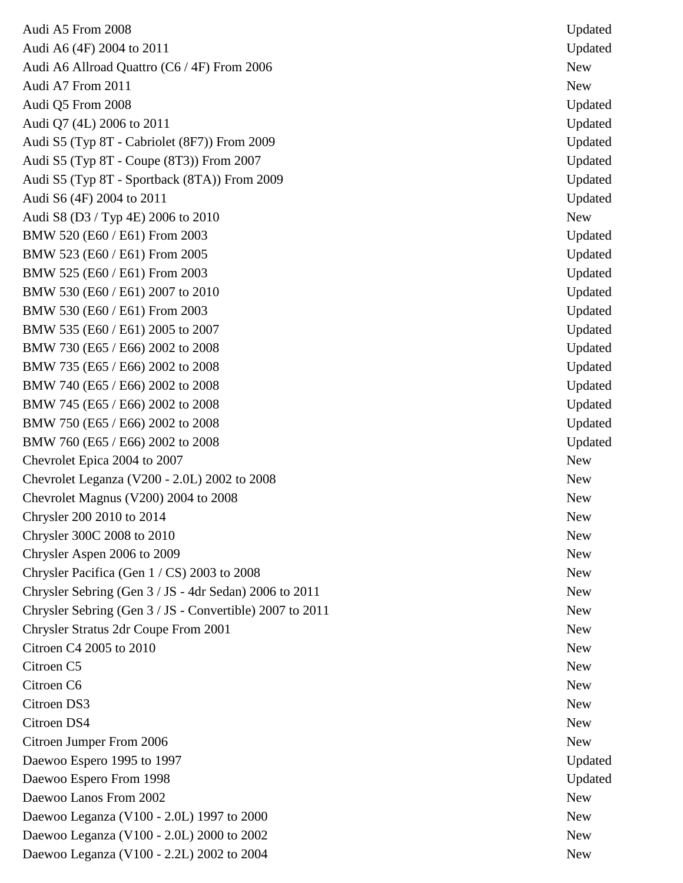Audi A5 From 2008 Updated Audi A6 (4F) 2004 to 2011 Updated Audi A6 Allroad Quattro (C6 / 4F) From 2006 New Audi A7 From 2011 New Audi Q5 From 2008 Updated Audi Q7 (4L) 2006 to 2011 Updated Audi S5 (Typ 8T - Cabriolet (8F7)) From 2009 Updated Audi S5 (Typ 8T - Coupe (8T3)) From 2007 Updated Audi S5 (Typ 8T - Sportback (8TA)) From 2009 Updated Audi S6 (4F) 2004 to 2011 Updated Audi S8 (D3 / Typ 4E) 2006 to 2010 BMW 520 (E60 / E61) From 2003 Updated BMW 523 (E60 / E61) From 2005 Updated BMW 525 (E60 / E61) From 2003 Updated BMW 530 (E60 / E61) 2007 to 2010 Updated BMW 530 (E60 / E61) From 2003 Updated BMW 535 (E60 / E61) 2005 to 2007 Updated BMW 730 (E65 / E66) 2002 to 2008 Updated BMW 735 (E65 / E66) 2002 to 2008 Updated BMW 740 (E65 / E66) 2002 to 2008 Updated BMW 745 (E65 / E66) 2002 to 2008 Updated BMW 750 (E65 / E66) 2002 to 2008 Updated BMW 760 (E65 / E66) 2002 to 2008 Updated Chevrolet Epica 2004 to 2007 New Chevrolet Leganza (V200 - 2.0L) 2002 to 2008 New Chevrolet Magnus (V200) 2004 to 2008 New  $Chrysler 200 2010 to 2014$  New Chrysler 300C 2008 to 2010 New Chrysler Aspen 2006 to 2009 New Chrysler Pacifica (Gen  $1 / CS$ ) 2003 to 2008 Chrysler Sebring (Gen 3 / JS - 4dr Sedan) 2006 to 2011 Chrysler Sebring (Gen 3 / JS - Convertible) 2007 to 2011 Chrysler Stratus 2dr Coupe From 2001 New Citroen C4 2005 to 2010 New Citroen C5 New Citroen C6 New Citroen DS3 New Citroen DS4 New Citroen Jumper From 2006 New Daewoo Espero 1995 to 1997 Updated Daewoo Espero From 1998 Updated Daewoo Lanos From 2002 New Section 2002 Daewoo Leganza (V100 - 2.0L) 1997 to 2000 Daewoo Leganza (V100 - 2.0L) 2000 to 2002 Mew Daewoo Leganza (V100 - 2.2L) 2002 to 2004 Mew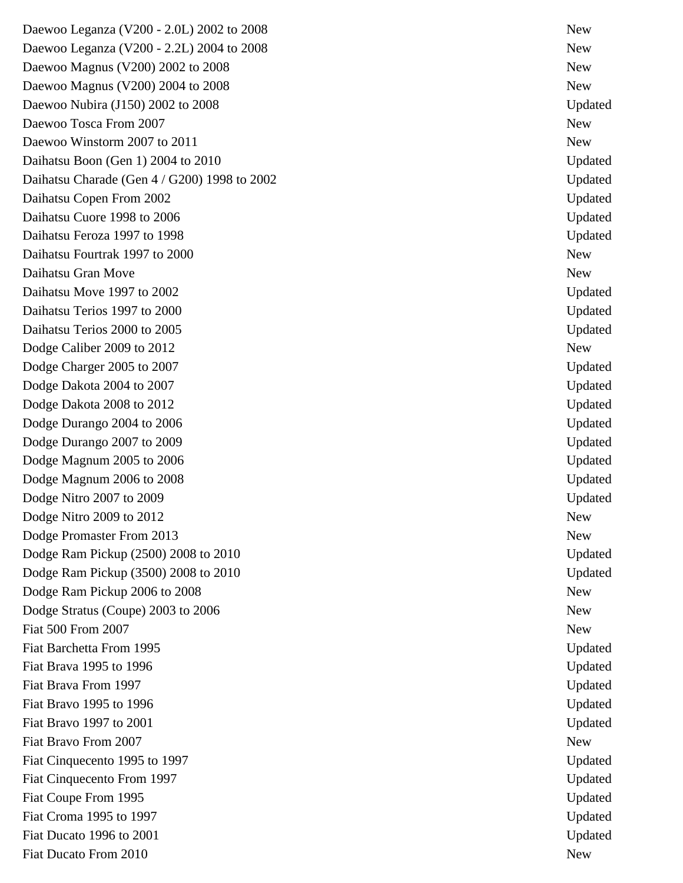Daewoo Leganza (V200 - 2.0L) 2002 to 2008 New Daewoo Leganza (V200 - 2.2L) 2004 to 2008 New Daewoo Magnus (V200) 2002 to 2008 New Daewoo Magnus (V200) 2004 to 2008 New Daewoo Nubira (J150) 2002 to 2008 Updated Daewoo Tosca From 2007 New Daewoo Winstorm 2007 to 2011 New Daihatsu Boon (Gen 1) 2004 to 2010 Updated Daihatsu Charade (Gen 4 / G200) 1998 to 2002 Updated Daihatsu Copen From 2002 Updated Daihatsu Cuore 1998 to 2006 Updated Daihatsu Feroza 1997 to 1998 Updated Daihatsu Fourtrak 1997 to 2000 New New York 1997 to 2000 Daihatsu Gran Move New Daihatsu Move 1997 to 2002 Updated Daihatsu Terios 1997 to 2000 Updated Daihatsu Terios 2000 to 2005 Updated Dodge Caliber 2009 to 2012 New Dodge Charger 2005 to 2007 Updated Dodge Dakota 2004 to 2007 Updated Dodge Dakota 2008 to 2012 Updated Dodge Durango 2004 to 2006 Updated Dodge Durango 2007 to 2009 Updated Dodge Magnum 2005 to 2006 Updated Dodge Magnum 2006 to 2008 Updated Dodge Nitro 2007 to 2009 Updated Updated 2007 Updated 2007 Updated 2007 Updated 2007 Updated 2009 Updated 2009 Dodge Nitro 2009 to 2012 Dodge Promaster From 2013 New Dodge Ram Pickup (2500) 2008 to 2010 Updated Dodge Ram Pickup (3500) 2008 to 2010 Updated Updated Dodge Ram Pickup 2006 to 2008 New Dodge Stratus (Coupe) 2003 to 2006 New Fiat 500 From 2007 New Fiat Barchetta From 1995 Updated Fiat Brava 1995 to 1996 Updated Fiat Brava From 1997 Updated Fiat Bravo 1995 to 1996 Updated Fiat Bravo 1997 to 2001 Updated Fiat Bravo From 2007 New Fiat Cinquecento 1995 to 1997 Updated Fiat Cinquecento From 1997 Updated Fiat Coupe From 1995 Updated Fiat Croma 1995 to 1997 Updated Fiat Ducato 1996 to 2001 Updated Fiat Ducato From 2010 New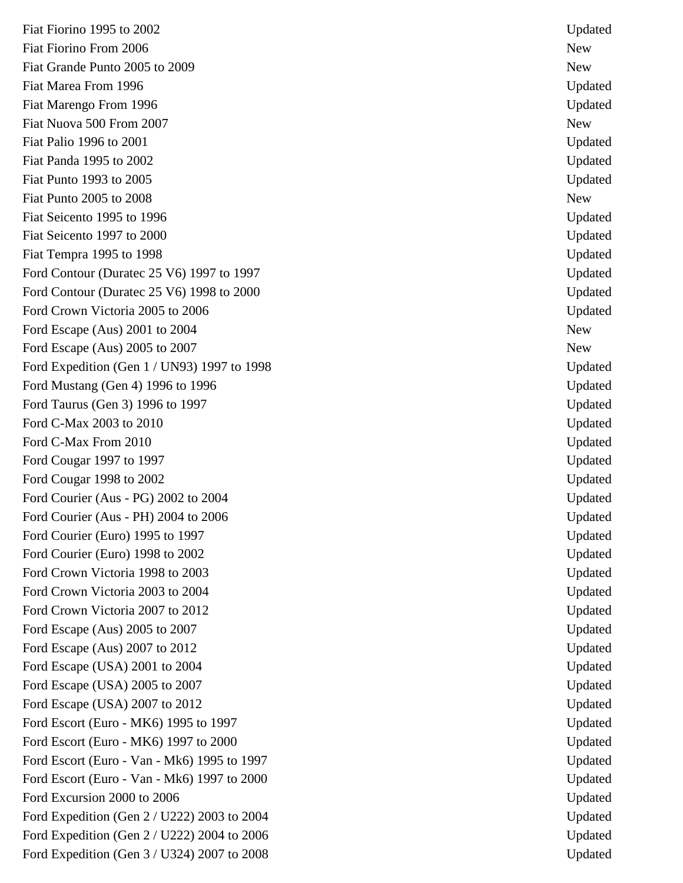Fiat Fiorino 1995 to 2002 Updated Fiat Fiorino From 2006 New Service Services and the Services of the New Service Services and New Services of the New Services of the New Services of the New Services of the New Services of the New Services of the New Servi Fiat Grande Punto 2005 to 2009 New Service Structure Punto 2005 New New Service Structure Punto 2005 New New New Fiat Marea From 1996 Updated Fiat Marengo From 1996 Updated Fiat Nuova 500 From 2007 New New York 1988 New York 1988 New York 1988 New York 1988 New York 1988 New York 19 Fiat Palio 1996 to 2001 Updated Fiat Panda 1995 to 2002 Updated Services and Services and Services and Services and Services and Updated Updated Services and Updated Services and Updated Services and Updated Services and Updated Services and Updated Serv Fiat Punto 1993 to 2005 Updated **Updated** Fiat Punto 2005 to 2008 Fiat Seicento 1995 to 1996 Updated Fiat Seicento 1997 to 2000 Updated Fiat Tempra 1995 to 1998 Updated Ford Contour (Duratec 25 V6) 1997 to 1997 Updated Ford Contour (Duratec 25 V6) 1998 to 2000 Updated Ford Crown Victoria 2005 to 2006 Updated Ford Escape (Aus) 2001 to 2004 New Ford Escape (Aus) 2005 to 2007 New Ford Expedition (Gen 1 / UN93) 1997 to 1998 Updated Ford Mustang (Gen 4) 1996 to 1996 Updated Ford Taurus (Gen 3) 1996 to 1997 Updated Ford C-Max 2003 to 2010 Updated Ford C-Max From 2010 Updated Ford Cougar 1997 to 1997 **Updated** Ford Cougar 1998 to 2002 Updated Ford Courier (Aus - PG) 2002 to 2004 Updated Ford Courier (Aus - PH) 2004 to 2006 Updated Ford Courier (Euro) 1995 to 1997 Updated Ford Courier (Euro) 1998 to 2002 Updated Ford Crown Victoria 1998 to 2003 Updated Ford Crown Victoria 2003 to 2004 Updated Ford Crown Victoria 2007 to 2012 Updated Ford Escape (Aus) 2005 to 2007 Updated Ford Escape (Aus) 2007 to 2012 Updated Ford Escape (USA) 2001 to 2004 Updated Ford Escape (USA) 2005 to 2007 Updated by the state of the Updated Updated Updated Updated by Updated Updated by Updated Updated Updated by Updated Updated by Updated by Updated Security 1.1 and 1.1 and 1.1 and 1.1 and 1.1 Ford Escape (USA) 2007 to 2012 Updated Ford Escort (Euro - MK6) 1995 to 1997 Updated Ford Escort (Euro - MK6) 1997 to 2000 Updated Ford Escort (Euro - Van - Mk6) 1995 to 1997 Updated Ford Escort (Euro - Van - Mk6) 1997 to 2000 Updated Ford Excursion 2000 to 2006 Updated Ford Expedition (Gen 2 / U222) 2003 to 2004 Updated Ford Expedition (Gen 2 / U222) 2004 to 2006 Updated Ford Expedition (Gen 3 / U324) 2007 to 2008 Updated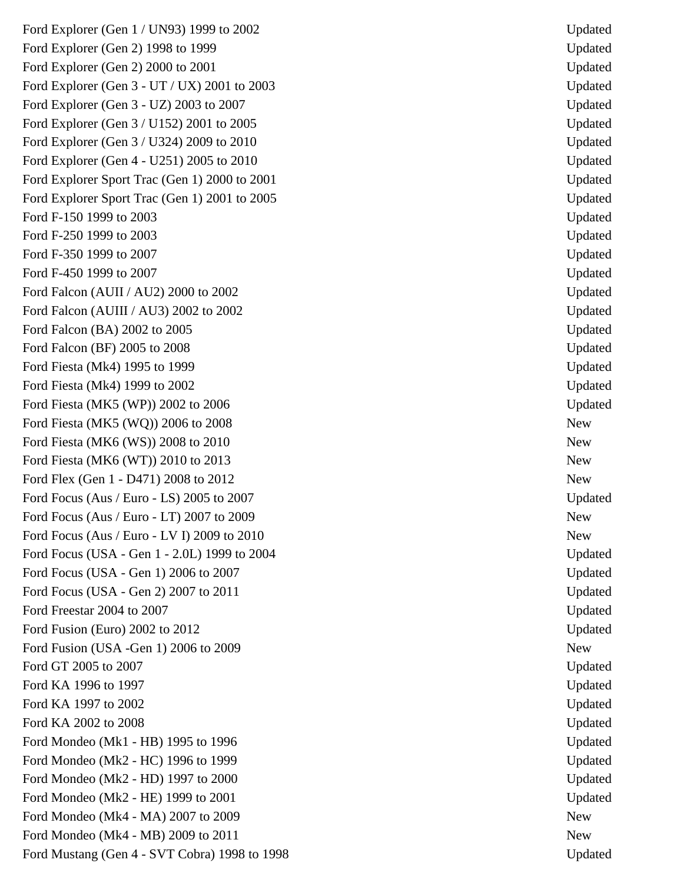Ford Explorer (Gen 1 / UN93) 1999 to 2002 Updated Ford Explorer (Gen 2) 1998 to 1999 Updated Ford Explorer (Gen 2) 2000 to 2001 Updated Ford Explorer (Gen 3 - UT / UX) 2001 to 2003 Updated Ford Explorer (Gen 3 - UZ) 2003 to 2007 Updated Ford Explorer (Gen 3 / U152) 2001 to 2005 Updated Ford Explorer (Gen 3 / U324) 2009 to 2010 Updated Ford Explorer (Gen 4 - U251) 2005 to 2010 Updated Ford Explorer Sport Trac (Gen 1) 2000 to 2001 Updated Ford Explorer Sport Trac (Gen 1) 2001 to 2005 Updated Ford F-150 1999 to 2003 Updated Ford F-250 1999 to 2003 Updated Ford F-350 1999 to 2007 Updated Ford F-450 1999 to 2007 Updated Ford Falcon (AUII / AU2) 2000 to 2002 Updated Ford Falcon (AUIII / AU3) 2002 to 2002 Updated Updated Ford Falcon (BA) 2002 to 2005 Updated Ford Falcon (BF) 2005 to 2008 Updated Ford Fiesta (Mk4) 1995 to 1999 Updated Ford Fiesta (Mk4) 1999 to 2002 Updated Ford Fiesta (MK5 (WP)) 2002 to 2006 Updated Ford Fiesta (MK5 (WQ)) 2006 to 2008 New Ford Fiesta (MK6 (WS)) 2008 to 2010 New Ford Fiesta (MK6 (WT)) 2010 to 2013 Ford Flex (Gen 1 - D471) 2008 to 2012 New Ford Focus (Aus / Euro - LS) 2005 to 2007 Updated Ford Focus (Aus / Euro - LT) 2007 to 2009 New Ford Focus (Aus / Euro - LV I) 2009 to 2010 Ford Focus (USA - Gen 1 - 2.0L) 1999 to 2004 Updated Ford Focus (USA - Gen 1) 2006 to 2007 Updated Ford Focus (USA - Gen 2) 2007 to 2011 Updated Ford Freestar 2004 to 2007 Updated Ford Fusion (Euro) 2002 to 2012 Updated Ford Fusion (USA -Gen 1) 2006 to 2009 New Ford GT 2005 to 2007 Updated Ford KA 1996 to 1997 Updated and the Updated Security and the Updated Security and Updated Security and Updated Security and Updated Security and Updated Security and Updated Security and Updated Security and Updated Secur Ford KA 1997 to 2002 Updated Ford KA 2002 to 2008 Updated Ford Mondeo (Mk1 - HB) 1995 to 1996 Updated Ford Mondeo (Mk2 - HC) 1996 to 1999 Updated Ford Mondeo (Mk2 - HD) 1997 to 2000 Ford Mondeo (Mk2 - HE) 1999 to 2001 Updated Ford Mondeo (Mk4 - MA) 2007 to 2009 New Ford Mondeo (Mk4 - MB) 2009 to 2011 New Ford Mustang (Gen 4 - SVT Cobra) 1998 to 1998 Updated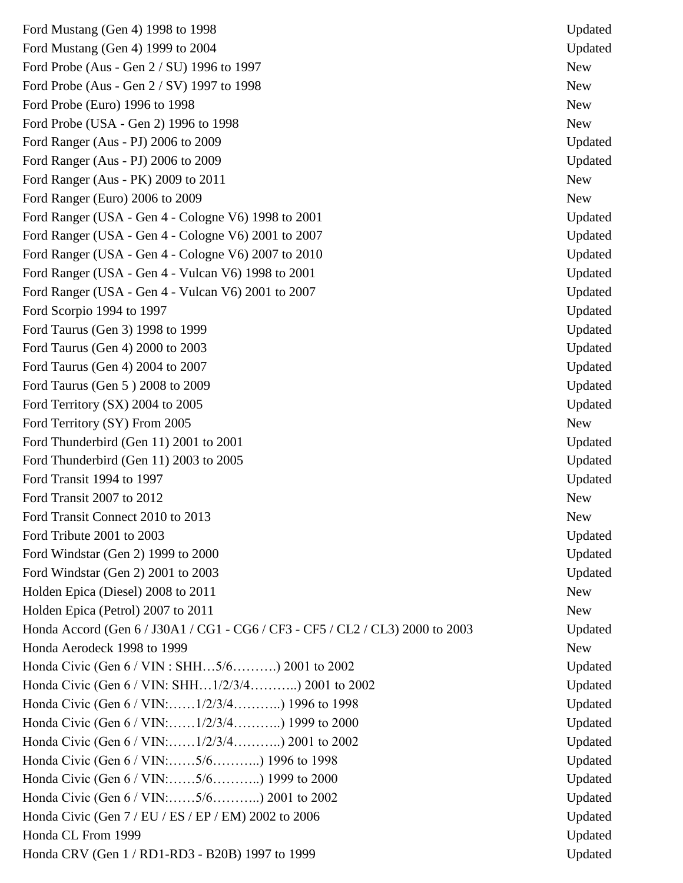Ford Mustang (Gen 4) 1998 to 1998 Updated Updated Ford Mustang (Gen 4) 1999 to 2004 Updated Ford Probe (Aus - Gen 2 / SU) 1996 to 1997 New Ford Probe (Aus - Gen 2 / SV) 1997 to 1998 New Ford Probe (Euro) 1996 to 1998 New Ford Probe (USA - Gen 2) 1996 to 1998 New Ford Ranger (Aus - PJ) 2006 to 2009 Updated Ford Ranger (Aus - PJ) 2006 to 2009 Updated Updated Updated Updated Updated Updated Updated Updated Updated Updated Updated Updated Updated Updated Updated Updated Updated Updated Updated Updated Updated Updated Updated Up Ford Ranger (Aus - PK) 2009 to 2011 New Ford Ranger (Euro) 2006 to 2009 New Ford Ranger (USA - Gen 4 - Cologne V6) 1998 to 2001 Updated Ford Ranger (USA - Gen 4 - Cologne V6) 2001 to 2007 Updated Ford Ranger (USA - Gen 4 - Cologne V6) 2007 to 2010 Updated Ford Ranger (USA - Gen 4 - Vulcan V6) 1998 to 2001 Updated Ford Ranger (USA - Gen 4 - Vulcan V6) 2001 to 2007 Updated Ford Scorpio 1994 to 1997 The Scorpio 1994 to 1997 Ford Taurus (Gen 3) 1998 to 1999 Updated Ford Taurus (Gen 4) 2000 to 2003 Updated Ford Taurus (Gen 4) 2004 to 2007 Updated Ford Taurus (Gen 5) 2008 to 2009 Updated Ford Territory (SX) 2004 to 2005 Updated Ford Territory (SY) From 2005 New Ford Thunderbird (Gen 11) 2001 to 2001 Updated Updated Updated Updated Updated Updated Updated Updated Updated Updated Updated Updated Updated Updated Updated Updated Updated Updated Updated Updated Updated Updated Updated Ford Thunderbird (Gen 11) 2003 to 2005 Updated Ford Transit 1994 to 1997 The Updated Updated Services and Transit 1994 to 1997 Ford Transit 2007 to 2012 New Ford Transit Connect 2010 to 2013 Ford Tribute 2001 to 2003 Updated 2001 Updated Ford Windstar (Gen 2) 1999 to 2000 Updated Ford Windstar (Gen 2) 2001 to 2003 Updated Holden Epica (Diesel) 2008 to 2011 New Holden Epica (Petrol) 2007 to 2011 New Honda Accord (Gen 6 / J30A1 / CG1 - CG6 / CF3 - CF5 / CL2 / CL3) 2000 to 2003 Updated Honda Aerodeck 1998 to 1999 New Service and Service and Service and Service and Service and Service and Service and Service and Service and Service and Service and Service and Service and Service and Service and Service an Honda Civic (Gen 6 / VIN : SHH...5/6..........) 2001 to 2002 Updated Honda Civic (Gen 6 / VIN: SHH...1/2/3/4............) 2001 to 2002 Updated Honda Civic (Gen 6 / VIN: ... ... 1/2/3/4... ... .......) 1996 to 1998 Updated Honda Civic (Gen 6 / VIN: ... ... 1/2/3/4... ... ........) 1999 to 2000 Updated Honda Civic (Gen 6 / VIN:……1/2/3/4………..) 2001 to 2002 Updated Honda Civic (Gen 6 / VIN: ... ... 5/6... ... .......) 1996 to 1998 Updated Honda Civic (Gen 6 / VIN: ... ... 5/6…..........) 1999 to 2000 Honda Civic (Gen 6 / VIN:……5/6………..) 2001 to 2002 Updated Honda Civic (Gen  $7 / EU / ES / EP / EM$ ) 2002 to 2006 Updated Honda CL From 1999 Updated Honda CRV (Gen 1 / RD1-RD3 - B20B) 1997 to 1999 Updated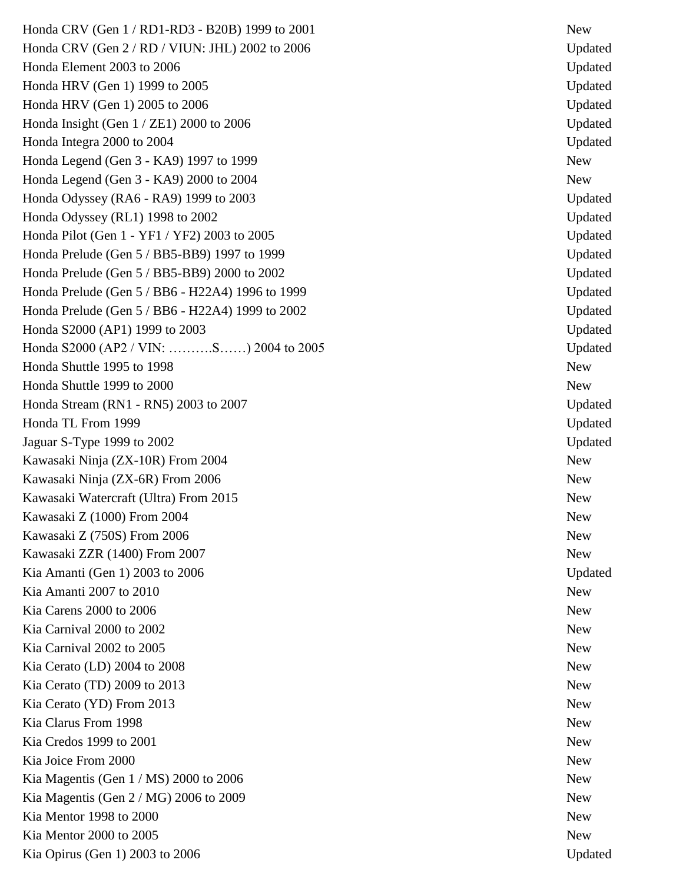Honda CRV (Gen 1 / RD1-RD3 - B20B) 1999 to 2001 Honda CRV (Gen 2 / RD / VIUN: JHL) 2002 to 2006 Updated Honda Element 2003 to 2006 Updated Updated Updated Updated Updated Updated Updated Updated Updated Updated Updated Updated Updated Updated Updated Updated Updated Updated Updated Updated Updated Updated Updated Updated Upd Honda HRV (Gen 1) 1999 to 2005 Updated Honda HRV (Gen 1) 2005 to 2006 Updated Honda Insight (Gen  $1 / ZE1$ ) 2000 to 2006 Updated Honda Integra 2000 to 2004 Updated Honda Legend (Gen 3 - KA9) 1997 to 1999 Mew Honda Legend (Gen 3 - KA9) 2000 to 2004 New Honda Odyssey (RA6 - RA9) 1999 to 2003 Updated Honda Odyssey (RL1) 1998 to 2002 Updated Honda Pilot (Gen 1 - YF1 / YF2) 2003 to 2005 Updated Honda Prelude (Gen 5 / BB5-BB9) 1997 to 1999 Updated Honda Prelude (Gen 5 / BB5-BB9) 2000 to 2002 Updated Honda Prelude (Gen 5 / BB6 - H22A4) 1996 to 1999 Updated Honda Prelude (Gen 5 / BB6 - H22A4) 1999 to 2002 Updated Honda S2000 (AP1) 1999 to 2003 Updated Honda S2000 (AP2 / VIN: ……….S……) 2004 to 2005 Updated Honda Shuttle 1995 to 1998 New Honda Shuttle 1999 to 2000 Honda Stream (RN1 - RN5) 2003 to 2007 Honda TL From 1999 Updated Jaguar S -Type 1999 to 2002 Updated Kawasaki Ninja (ZX-10R) From 2004 New Kawasaki Ninja (ZX -6R) From 2006 New Kawasaki Watercraft (Ultra) From 2015 New Kawasaki Z (1000) From 2004 New Kawasaki Z (750S) From 2006 New Service Services and Services and Services and New New New New New New New New Kawasaki ZZR (1400) From 2007 New Kia Amanti (Gen 1) 2003 to 2006 Updated Updated Updated Updated Updated Updated Updated Updated Updated Updated Updated Updated Updated Updated Updated Updated Updated Updated Updated Updated Updated Updated Updated Update Kia Amanti 2007 to 2010 New Service States and the United States of New Service States and New Service States and New Service States and New Service States and New Service States and New Service States and New Service Stat Kia Carens 2000 to 2006 New Search 2000 to 2006 Kia Carnival 2000 to 2002 New Service States and the United States of the New Service States and the New Service States and the New Service States and the New Service States and the New Service States and the New Service S Kia Carnival 2002 to 2005 New Service and the United States of the New Service and Service and Service and Service and Service and Service and Service and Service and Service and Service and Service and Service and Service Kia Cerato (LD) 2004 to 2008 New Service and the service of the service service service service  $\mathbb{N}_{\mathbb{C}}$ Kia Cerato (TD) 2009 to 2013 New Kia Cerato (YD) From 2013 New Service Service Service Service Service Service Service Service Service Service Service Service Service Service Service Service Service Service Service Service Service Service Service Service Kia Clarus From 1998 New Kia Credos 1999 to 2001 New Kia Joice From 2000 New Kia Magentis (Gen  $1 / MS$ ) 2000 to 2006 Kia Magentis (Gen  $2 / MG$ ) 2006 to 2009 New Kia Mentor 1998 to 2000 New New York 1998 to 2000 Kia Mentor 2000 to 2005 New Search 2000 to 2005 Kia Opirus (Gen 1) 2003 to 2006 Updated

Updated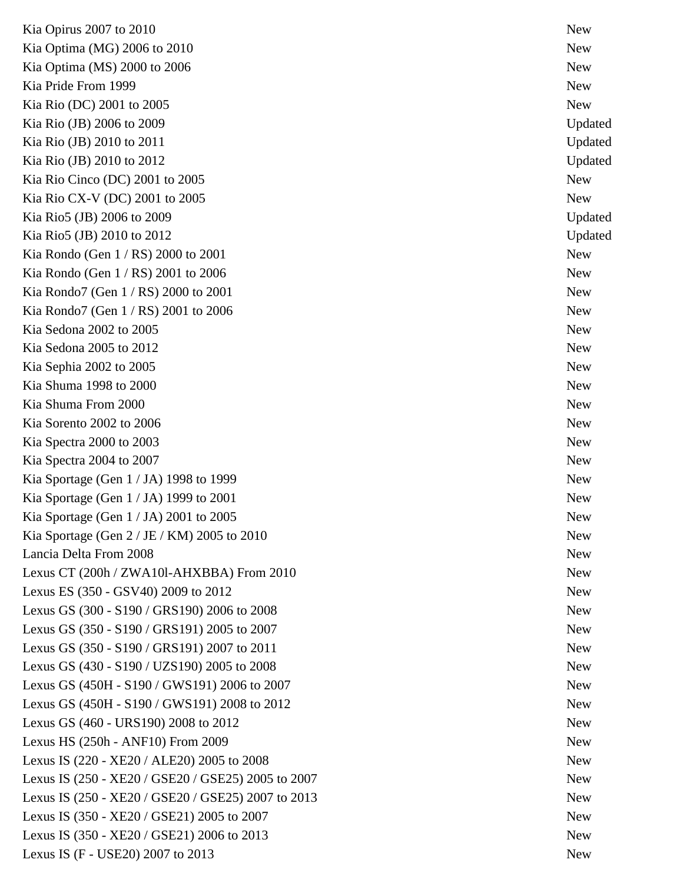Kia Opirus 2007 to 2010 New Kia Optima (MG) 2006 to 2010 New Kia Optima (MS) 2000 to 2006 New Kia Pride From 1999 New New Accounts and the set of the set of the set of the set of the set of the set of the set of the set of the set of the set of the set of the set of the set of the set of the set of the set of the s Kia Rio (DC) 2001 to 2005 New Kia Rio (JB) 2006 to 2009 Updated Services and Services and Services and Services and Services and Updated Updated Services and Updated Services and Updated Services and Updated Services and Updated Services and Updated Se Kia Rio (JB) 2010 to 2011 Updated Kia Rio (JB) 2010 to 2012 Updated Updated Updated Updated Updated Updated Updated Updated Updated Updated Updated Updated Updated Updated Updated Updated Updated Updated Updated Updated Updated Updated Updated Updated Upda Kia Rio Cinco (DC) 2001 to 2005 New Kia Rio CX-V (DC) 2001 to 2005 New Kia Rio5 (JB) 2006 to 2009 Updated Kia Rio5 (JB) 2010 to 2012 Updated Kia Rondo (Gen 1 / RS) 2000 to 2001 New Kia Rondo (Gen  $1 / RS$ ) 2001 to 2006  $\mu$ Kia Rondo7 (Gen  $1 / RS$ ) 2000 to 2001 Kia Rondo7 (Gen  $1 / RS$ ) 2001 to 2006 New Kia Sedona 2002 to 2005 New Search and the Search of the Search and the New Search of the New Search of the New Search of the New Search of the New Search of the New Search of the New Search of the New Search of the New Se Kia Sedona 2005 to 2012 New Sedona 2005 to 2012 Kia Sephia 2002 to 2005 New Separation and the separation of the separation of the New Separation of the New Separation of the New Separation of the New Separation of the New Separation of the New Separation of the New Sep Kia Shuma 1998 to 2000 New Kia Shuma From 2000 New South Assembly to the contract of the state of the state of the state of the state of the state of the state of the state of the state of the state of the state of the state of the state of the stat Kia Sorento 2002 to 2006 New Kia Spectra 2000 to 2003 New Kia Spectra 2004 to 2007 New Kia Sportage (Gen  $1 / JA$ ) 1998 to 1999  $New$ Kia Sportage (Gen  $1 / JA$ ) 1999 to 2001 Kia Sportage (Gen 1/JA) 2001 to 2005 Kia Sportage (Gen  $2 / JE / KM$ ) 2005 to 2010 Lancia Delta From 2008 New Lexus CT (200h / ZWA10l-AHXBBA) From 2010 <br>New Lexus ES (350 - GSV40) 2009 to 2012 Mew Lexus GS (300 - S190 / GRS190) 2006 to 2008 New Lexus GS (350 - S190 / GRS191) 2005 to 2007 Mew Lexus GS (350 - S190 / GRS191) 2007 to 2011 Mew Lexus GS (430 - S190 / UZS190) 2005 to 2008 Mew Lexus GS (450H - S190 / GWS191) 2006 to 2007 Lexus GS (450H - S190 / GWS191) 2008 to 2012 New Lexus GS (460 - URS190) 2008 to 2012 Mew Lexus HS (250h - ANF10) From 2009 New Lexus IS (220 - XE20 / ALE20) 2005 to 2008 Lexus IS (250 - XE20 / GSE20 / GSE25) 2005 to 2007 Lexus IS (250 - XE20 / GSE20 / GSE25) 2007 to 2013 Lexus IS (350 - XE20 / GSE21) 2005 to 2007 New Lexus IS (350 - XE20 / GSE21) 2006 to 2013 New Lexus IS (F - USE20) 2007 to 2013 New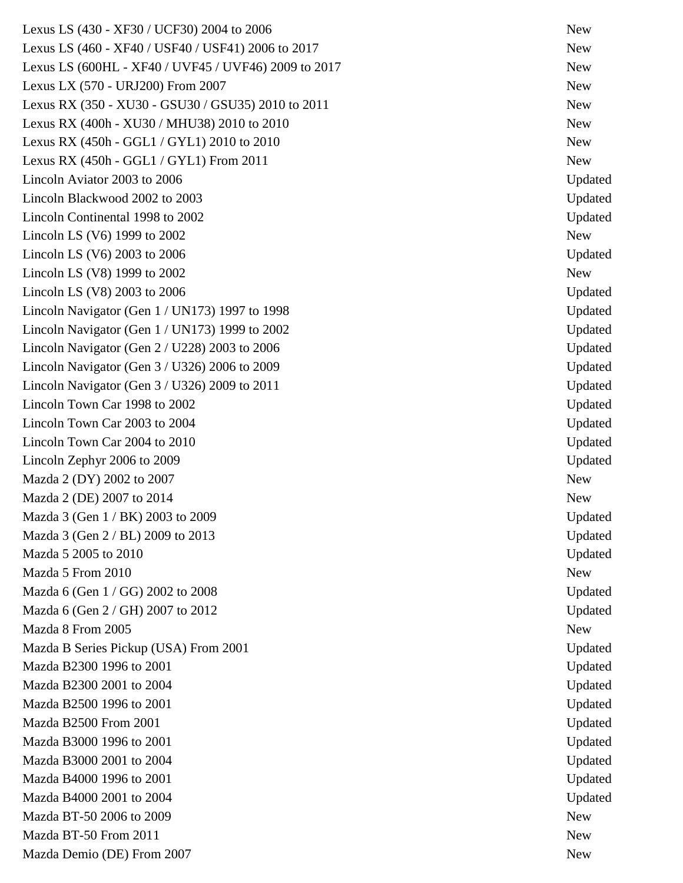Lexus LS (430 - XF30 / UCF30) 2004 to 2006 New Lexus LS (460 - XF40 / USF40 / USF41) 2006 to 2017 Lexus LS (600HL - XF40 / UVF45 / UVF46) 2009 to 2017 Lexus LX (570 - URJ200) From 2007 120 and 2007 Lexus RX (350 - XU30 - GSU30 / GSU35) 2010 to 2011 Lexus RX (400h - XU30 / MHU38) 2010 to 2010 Lexus RX  $(450h - GGL1 / GYL1)$  2010 to 2010 Lexus RX  $(450h - GGL1 / GYL1)$  From 2011 Lincoln Aviator 2003 to 2006 Updated Lincoln Blackwood 2002 to 2003 Updated Lincoln Continental 1998 to 2002 Updated  $\text{Lincoh}\, \text{LS}$  (V6) 1999 to 2002 New Lincoln LS (V6) 2003 to 2006 Updated  $\mu$  Lincoln LS (V8) 1999 to 2002  $\mu$ Lincoln LS (V8) 2003 to 2006 Updated Lincoln Navigator (Gen 1 / UN173) 1997 to 1998 Updated Lincoln Navigator (Gen 1 / UN173) 1999 to 2002 Updated Lincoln Navigator (Gen 2 / U228) 2003 to 2006 Updated Lincoln Navigator (Gen 3 / U326) 2006 to 2009 Updated Lincoln Navigator (Gen 3 / U326) 2009 to 2011 Updated Lincoln Town Car 1998 to 2002 Updated Lincoln Town Car 2003 to 2004 Updated Lincoln Town Car 2004 to 2010 Updated Lincoln Zephyr 2006 to 2009 Updated  $\text{Mazda } 2 \text{ (DY)} 2002 \text{ to } 2007$  $Mazda 2 (DE) 2007 to 2014$  New Mazda 3 (Gen  $1 / BK$ ) 2003 to 2009 Updated Mazda 3 (Gen 2 / BL) 2009 to 2013 Updated Mazda 5 2005 to 2010 Updated Mazda 5 From 2010 New New York 2010 Mazda 6 (Gen 1 / GG) 2002 to 2008 Updated Mazda 6 (Gen 2 / GH) 2007 to 2012 Updated Mazda 8 From 2005 New Mazda B Series Pickup (USA) From 2001 Updated Mazda B2300 1996 to 2001 Updated Mazda B2300 2001 to 2004 Updated Mazda B2500 1996 to 2001 Updated Mazda B2500 From 2001 Updated Mazda B3000 1996 to 2001 Updated Mazda B3000 2001 to 2004 Updated Mazda B4000 1996 to 2001 Updated Mazda B4000 2001 to 2004 Updated Mazda BT-50 2006 to 2009 New Mazda BT-50 From 2011 New Mazda Demio (DE) From 2007 New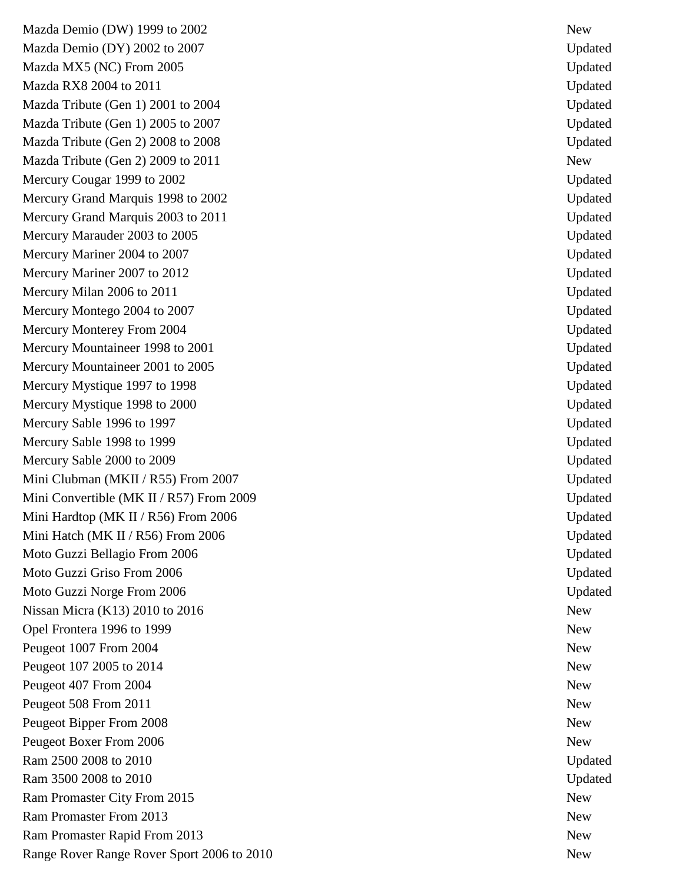Mazda Demio (DW) 1999 to 2002 Mazda Demio (DY) 2002 to 2007 Updated Mazda MX5 (NC) From 2005 Updated Mazda RX8 2004 to 2011 Updated Mazda Tribute (Gen 1) 2001 to 2004 Updated Mazda Tribute (Gen 1) 2005 to 2007 Updated Mazda Tribute (Gen 2) 2008 to 2008 Updated Updated Updated Updated Updated Updated Updated Updated Updated Updated Updated Updated Updated Updated Updated Updated Updated Updated Updated Updated Updated Updated Updated Upd Mazda Tribute (Gen 2) 2009 to 2011 New Mercury Cougar 1999 to 2002 Updated Services and the Updated Updated Updated Updated Updated Updated Updated Updated Updated Updated Updated Updated Updated Updated Updated Updated Updated Updated Updated Updated Updated U Mercury Grand Marquis 1998 to 2002 Updated Mercury Grand Marquis 2003 to 2011 Updated Mercury Marauder 2003 to 2005 Updated Mercury Mariner 2004 to 2007 Updated Mercury Mariner 2007 to 2012 Updated Mercury Milan 2006 to 2011 Updated Mercury Montego 2004 to 2007 Updated Mercury Monterey From 2004 Updated Mercury Mountaineer 1998 to 2001 Updated Mercury Mountaineer 2001 to 2005 Updated Mercury Mystique 1997 to 1998 Updated Mercury Mystique 1998 to 2000 Updated Mercury Sable 1996 to 1997 Updated Mercury Sable 1998 to 1999 Updated Mercury Sable 2000 to 2009 Updated Mini Clubman (MKII / R55) From 2007 Updated Mini Convertible (MK II / R57) From 2009 Updated Mini Hardtop (MK II / R56) From 2006 Updated Mini Hatch (MK II / R56) From 2006 Updated Moto Guzzi Bellagio From 2006 Updated Moto Guzzi Griso From 2006 Updated Moto Guzzi Norge From 2006 Updated Nissan Micra  $(K13)$  2010 to 2016 Opel Frontera 1996 to 1999 New Peugeot 1007 From 2004 New Peugeot 107 2005 to 2014 New Peugeot 407 From 2004 New Peugeot 508 From 2011 New Peugeot Bipper From 2008 New Peugeot Boxer From 2006 New Ram 2500 2008 to 2010 Updated Ram 3500 2008 to 2010 Updated **Updated** Ram Promaster City From 2015 New Ram Promaster From 2013 New Ram Promaster Rapid From 2013 New Range Rover Range Rover Sport 2006 to 2010 New

New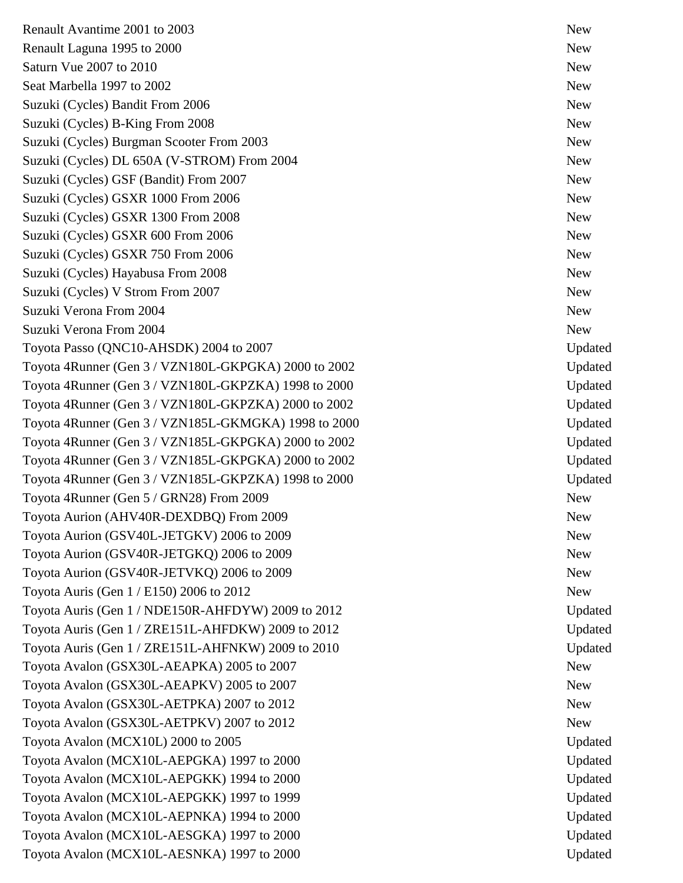Renault Avantime 2001 to 2003 New Service and Service and Service and Service and Service and Service and Service and Service and Service and Service and Service and Service and Service and Service and Service and Service Renault Laguna 1995 to 2000 Saturn Vue 2007 to 2010 Seat Marbella 1997 to 2002 New Seat Marbella 1997 to 2002 Suzuki (Cycles) Bandit From 2006 New Suzuki (Cycles) B-King From 2008 New Suzuki (Cycles) Burgman Scooter From 2003 New Suzuki (Cycles) DL 650A (V-STROM) From 2004 New Suzuki (Cycles) GSF (Bandit) From 2007 New Suzuki (Cycles) GSXR 1000 From 2006 New Suzuki (Cycles) GSXR 1300 From 2008 New Suzuki (Cycles) GSXR 600 From 2006 New Suzuki (Cycles) GSXR 750 From 2006 New Suzuki (Cycles) Hayabusa From 2008 New Suzuki (Cycles) V Strom From 2007 New Suzuki Verona From 2004 New Suzuki Verona From 2004 Suzuki Verona From 2004 New Suzuki Verona From 2004 Toyota Passo (QNC10-AHSDK) 2004 to 2007 Updated Toyota 4Runner (Gen 3 / VZN180L-GKPGKA) 2000 to 2002 Updated Toyota 4Runner (Gen 3 / VZN180L-GKPZKA) 1998 to 2000 Updated Toyota 4Runner (Gen 3 / VZN180L-GKPZKA) 2000 to 2002 Updated Toyota 4Runner (Gen 3 / VZN185L-GKMGKA) 1998 to 2000 Toyota 4Runner (Gen 3 / VZN185L-GKPGKA) 2000 to 2002 Updated Toyota 4Runner (Gen 3 / VZN185L-GKPGKA) 2000 to 2002 Updated Toyota 4Runner (Gen 3 / VZN185L-GKPZKA) 1998 to 2000 Toyota 4Runner (Gen 5 / GRN28) From 2009 New Toyota Aurion (AHV40R-DEXDBQ) From 2009 New Toyota Aurion (GSV40L-JETGKV) 2006 to 2009 New Toyota Aurion (GSV40R-JETGKQ) 2006 to 2009 Toyota Aurion (GSV40R-JETVKQ) 2006 to 2009 New Toyota Auris (Gen  $1/$  E150) 2006 to 2012 New Toyota Auris (Gen 1 / NDE150R-AHFDYW) 2009 to 2012 Updated Toyota Auris (Gen 1 / ZRE151L-AHFDKW) 2009 to 2012 Updated Toyota Auris (Gen 1 / ZRE151L-AHFNKW) 2009 to 2010 Toyota Avalon (GSX30L-AEAPKA) 2005 to 2007 New Toyota Avalon (GSX30L-AEAPKV) 2005 to 2007 New Toyota Avalon (GSX30L-AETPKA) 2007 to 2012 New Toyota Avalon (GSX30L-AETPKV) 2007 to 2012 New Toyota Avalon (MCX10L) 2000 to 2005 Updated Toyota Avalon (MCX10L-AEPGKA) 1997 to 2000 Updated Toyota Avalon (MCX10L-AEPGKK) 1994 to 2000 Updated Toyota Avalon (MCX10L-AEPGKK) 1997 to 1999 Updated Toyota Avalon (MCX10L-AEPNKA) 1994 to 2000 Toyota Avalon (MCX10L-AESGKA) 1997 to 2000 Updated Toyota Avalon (MCX10L-AESNKA) 1997 to 2000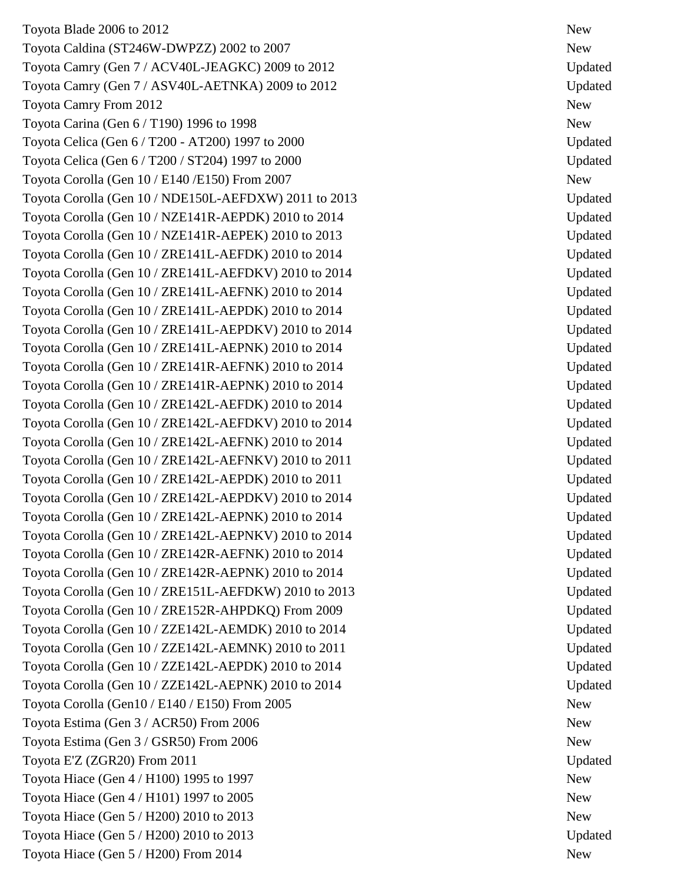Toyota Blade 2006 to 2012 New Toyota Caldina (ST246W-DWPZZ) 2002 to 2007 Toyota Camry (Gen  $7 / ACV40L$ -JEAGKC) 2009 to 2012 Toyota Camry (Gen  $7 / ASV40L$ -AETNKA) 2009 to 2012 Toyota Camry From 2012 New Toyota Carina (Gen  $6/$  T190) 1996 to 1998  $\blacksquare$ Toyota Celica (Gen 6 / T200 - AT200) 1997 to 2000 Toyota Celica (Gen 6 / T200 / ST204) 1997 to 2000 Toyota Corolla (Gen 10 / E140 / E150) From 2007 New Toyota Corolla (Gen 10 / NDE150L -AEFDXW) 2011 to 2013 Updated Toyota Corolla (Gen 10 / NZE141R-AEPDK) 2010 to 2014 Updated Toyota Corolla (Gen 10 / NZE141R -AEPEK) 2010 to 2013 Updated Toyota Corolla (Gen 10 / ZRE141L-AEFDK) 2010 to 2014 Updated Toyota Corolla (Gen 10 / ZRE141L-AEFDKV) 2010 to 2014 Updated Toyota Corolla (Gen 10 / ZRE141L-AEFNK) 2010 to 2014 Updated Toyota Corolla (Gen 10 / ZRE141L-AEPDK) 2010 to 2014 Updated Toyota Corolla (Gen 10 / ZRE141L-AEPDKV) 2010 to 2014 Updated Toyota Corolla (Gen 10 / ZRE141L-AEPNK) 2010 to 2014 Updated Toyota Corolla (Gen 10 / ZRE141R-AEFNK) 2010 to 2014 Updated Toyota Corolla (Gen 10 / ZRE141R-AEPNK) 2010 to 2014 Updated Toyota Corolla (Gen 10 / ZRE142L-AEFDK) 2010 to 2014 Updated Toyota Corolla (Gen 10 / ZRE142L-AEFDKV) 2010 to 2014 Updated Toyota Corolla (Gen 10 / ZRE142L -AEFNK) 2010 to 2014 Updated Toyota Corolla (Gen 10 / ZRE142L-AEFNKV) 2010 to 2011 Updated Toyota Corolla (Gen 10 / ZRE142L-AEPDK) 2010 to 2011 Updated Toyota Corolla (Gen 10 / ZRE142L-AEPDKV) 2010 to 2014 Updated Toyota Corolla (Gen 10 / ZRE142L-AEPNK) 2010 to 2014 Updated Toyota Corolla (Gen 10 / ZRE142L-AEPNKV) 2010 to 2014 Updated Toyota Corolla (Gen 10 / ZRE142R -AEFNK) 2010 to 2014 Updated Toyota Corolla (Gen 10 / ZRE142R -AEPNK) 2010 to 2014 Updated Toyota Corolla (Gen 10 / ZRE151L -AEFDKW) 2010 to 2013 Updated Toyota Corolla (Gen 10 / ZRE152R -AHPDKQ) From 2009 Updated Toyota Corolla (Gen 10 / ZZE142L-AEMDK) 2010 to 2014 Updated Toyota Corolla (Gen 10 / ZZE142L-AEMNK) 2010 to 2011 Updated Toyota Corolla (Gen 10 / ZZE142L-AEPDK) 2010 to 2014 Updated Toyota Corolla (Gen 10 / ZZE142L-AEPNK) 2010 to 2014 Updated Toyota Corolla (Gen10 / E140 / E150) From 2005 New Toyota Estima (Gen 3 / ACR50) From 2006 New Toyota Estima (Gen 3 / GSR50) From 2006 New Toyota E'Z (ZGR20) From 2011 Updated Updated Updated Updated Updated Updated Updated Updated Updated Updated Updated Updated Updated Updated Updated Updated Updated Updated Updated Updated Updated Updated Updated Updated U Toyota Hiace  $(Gen 4 / H100)$  1995 to 1997 Toyota Hiace  $(Gen 4 / H101)$  1997 to 2005 Toyota Hiace (Gen 5 / H200) 2010 to 2013 New Toyota Hiace (Gen 5 / H200) 2010 to 2013 Updated Toyota Hiace (Gen 5 / H200) From 2014 New